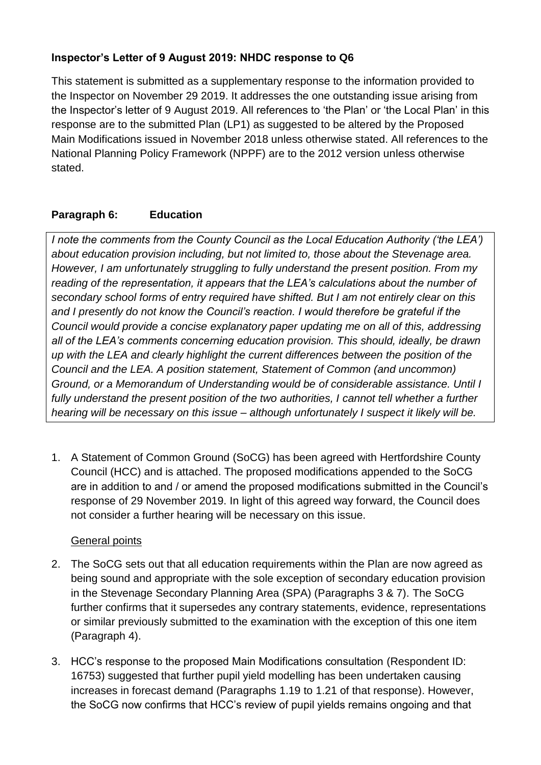### **Inspector's Letter of 9 August 2019: NHDC response to Q6**

This statement is submitted as a supplementary response to the information provided to the Inspector on November 29 2019. It addresses the one outstanding issue arising from the Inspector's letter of 9 August 2019. All references to 'the Plan' or 'the Local Plan' in this response are to the submitted Plan (LP1) as suggested to be altered by the Proposed Main Modifications issued in November 2018 unless otherwise stated. All references to the National Planning Policy Framework (NPPF) are to the 2012 version unless otherwise stated.

#### **Paragraph 6: Education**

*I note the comments from the County Council as the Local Education Authority ('the LEA') about education provision including, but not limited to, those about the Stevenage area. However, I am unfortunately struggling to fully understand the present position. From my reading of the representation, it appears that the LEA's calculations about the number of secondary school forms of entry required have shifted. But I am not entirely clear on this and I presently do not know the Council's reaction. I would therefore be grateful if the Council would provide a concise explanatory paper updating me on all of this, addressing all of the LEA's comments concerning education provision. This should, ideally, be drawn up with the LEA and clearly highlight the current differences between the position of the Council and the LEA. A position statement, Statement of Common (and uncommon) Ground, or a Memorandum of Understanding would be of considerable assistance. Until I*  fully understand the present position of the two authorities, I cannot tell whether a further *hearing will be necessary on this issue – although unfortunately I suspect it likely will be.* 

1. A Statement of Common Ground (SoCG) has been agreed with Hertfordshire County Council (HCC) and is attached. The proposed modifications appended to the SoCG are in addition to and / or amend the proposed modifications submitted in the Council's response of 29 November 2019. In light of this agreed way forward, the Council does not consider a further hearing will be necessary on this issue.

#### General points

- 2. The SoCG sets out that all education requirements within the Plan are now agreed as being sound and appropriate with the sole exception of secondary education provision in the Stevenage Secondary Planning Area (SPA) (Paragraphs 3 & 7). The SoCG further confirms that it supersedes any contrary statements, evidence, representations or similar previously submitted to the examination with the exception of this one item (Paragraph 4).
- 3. HCC's response to the proposed Main Modifications consultation (Respondent ID: 16753) suggested that further pupil yield modelling has been undertaken causing increases in forecast demand (Paragraphs 1.19 to 1.21 of that response). However, the SoCG now confirms that HCC's review of pupil yields remains ongoing and that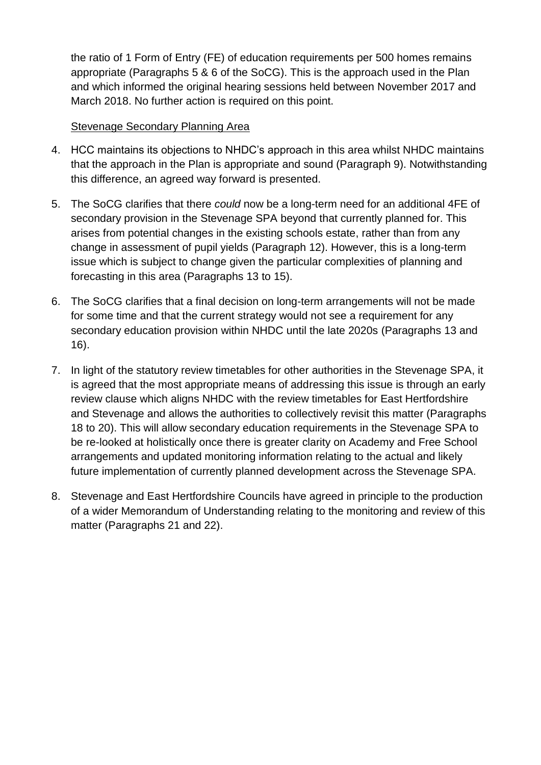the ratio of 1 Form of Entry (FE) of education requirements per 500 homes remains appropriate (Paragraphs 5 & 6 of the SoCG). This is the approach used in the Plan and which informed the original hearing sessions held between November 2017 and March 2018. No further action is required on this point.

#### Stevenage Secondary Planning Area

- 4. HCC maintains its objections to NHDC's approach in this area whilst NHDC maintains that the approach in the Plan is appropriate and sound (Paragraph 9). Notwithstanding this difference, an agreed way forward is presented.
- 5. The SoCG clarifies that there *could* now be a long-term need for an additional 4FE of secondary provision in the Stevenage SPA beyond that currently planned for. This arises from potential changes in the existing schools estate, rather than from any change in assessment of pupil yields (Paragraph 12). However, this is a long-term issue which is subject to change given the particular complexities of planning and forecasting in this area (Paragraphs 13 to 15).
- 6. The SoCG clarifies that a final decision on long-term arrangements will not be made for some time and that the current strategy would not see a requirement for any secondary education provision within NHDC until the late 2020s (Paragraphs 13 and 16).
- 7. In light of the statutory review timetables for other authorities in the Stevenage SPA, it is agreed that the most appropriate means of addressing this issue is through an early review clause which aligns NHDC with the review timetables for East Hertfordshire and Stevenage and allows the authorities to collectively revisit this matter (Paragraphs 18 to 20). This will allow secondary education requirements in the Stevenage SPA to be re-looked at holistically once there is greater clarity on Academy and Free School arrangements and updated monitoring information relating to the actual and likely future implementation of currently planned development across the Stevenage SPA.
- 8. Stevenage and East Hertfordshire Councils have agreed in principle to the production of a wider Memorandum of Understanding relating to the monitoring and review of this matter (Paragraphs 21 and 22).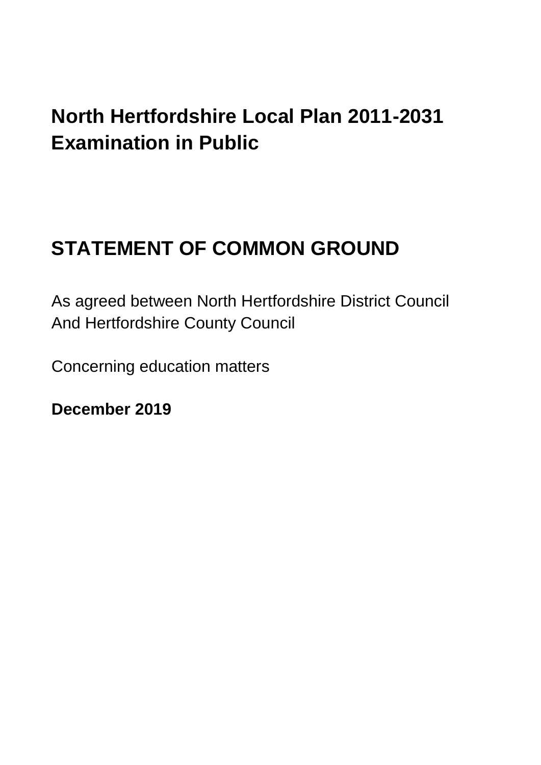## **North Hertfordshire Local Plan 2011-2031 Examination in Public**

# **STATEMENT OF COMMON GROUND**

As agreed between North Hertfordshire District Council And Hertfordshire County Council

Concerning education matters

**December 2019**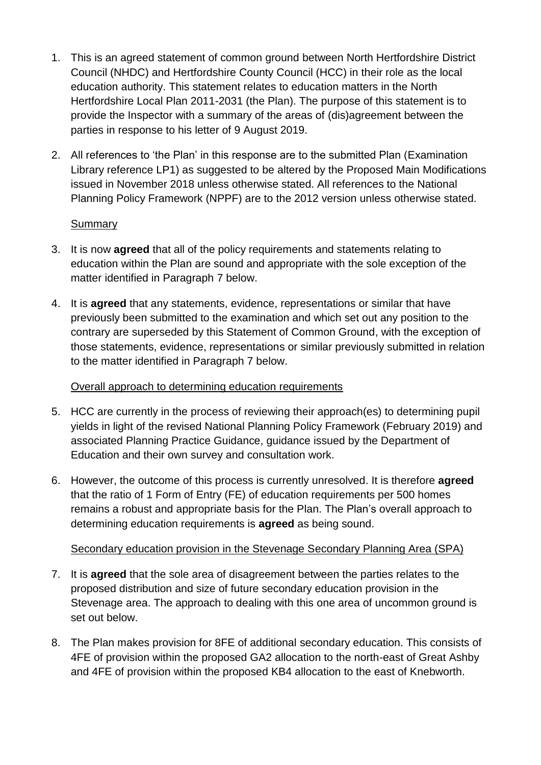- 1. This is an agreed statement of common ground between North Hertfordshire District Council (NHDC) and Hertfordshire County Council (HCC) in their role as the local education authority. This statement relates to education matters in the North Hertfordshire Local Plan 2011-2031 (the Plan). The purpose of this statement is to provide the Inspector with a summary of the areas of (dis)agreement between the parties in response to his letter of 9 August 2019.
- 2. All references to 'the Plan' in this response are to the submitted Plan (Examination Library reference LP1) as suggested to be altered by the Proposed Main Modifications issued in November 2018 unless otherwise stated. All references to the National Planning Policy Framework (NPPF) are to the 2012 version unless otherwise stated.

#### Summary

- 3. It is now **agreed** that all of the policy requirements and statements relating to education within the Plan are sound and appropriate with the sole exception of the matter identified in Paragraph 7 below.
- 4. It is **agreed** that any statements, evidence, representations or similar that have previously been submitted to the examination and which set out any position to the contrary are superseded by this Statement of Common Ground, with the exception of those statements, evidence, representations or similar previously submitted in relation to the matter identified in Paragraph 7 below.

#### Overall approach to determining education requirements

- 5. HCC are currently in the process of reviewing their approach(es) to determining pupil yields in light of the revised National Planning Policy Framework (February 2019) and associated Planning Practice Guidance, guidance issued by the Department of Education and their own survey and consultation work.
- 6. However, the outcome of this process is currently unresolved. It is therefore **agreed** that the ratio of 1 Form of Entry (FE) of education requirements per 500 homes remains a robust and appropriate basis for the Plan. The Plan's overall approach to determining education requirements is **agreed** as being sound.

### Secondary education provision in the Stevenage Secondary Planning Area (SPA)

- 7. It is **agreed** that the sole area of disagreement between the parties relates to the proposed distribution and size of future secondary education provision in the Stevenage area. The approach to dealing with this one area of uncommon ground is set out below.
- 8. The Plan makes provision for 8FE of additional secondary education. This consists of 4FE of provision within the proposed GA2 allocation to the north-east of Great Ashby and 4FE of provision within the proposed KB4 allocation to the east of Knebworth.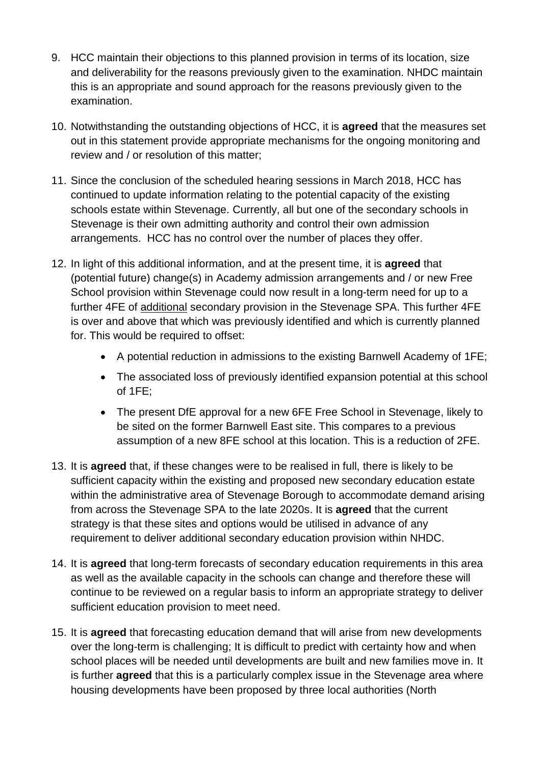- 9. HCC maintain their objections to this planned provision in terms of its location, size and deliverability for the reasons previously given to the examination. NHDC maintain this is an appropriate and sound approach for the reasons previously given to the examination.
- 10. Notwithstanding the outstanding objections of HCC, it is **agreed** that the measures set out in this statement provide appropriate mechanisms for the ongoing monitoring and review and / or resolution of this matter;
- 11. Since the conclusion of the scheduled hearing sessions in March 2018, HCC has continued to update information relating to the potential capacity of the existing schools estate within Stevenage. Currently, all but one of the secondary schools in Stevenage is their own admitting authority and control their own admission arrangements. HCC has no control over the number of places they offer.
- 12. In light of this additional information, and at the present time, it is **agreed** that (potential future) change(s) in Academy admission arrangements and / or new Free School provision within Stevenage could now result in a long-term need for up to a further 4FE of additional secondary provision in the Stevenage SPA. This further 4FE is over and above that which was previously identified and which is currently planned for. This would be required to offset:
	- A potential reduction in admissions to the existing Barnwell Academy of 1FE;
	- The associated loss of previously identified expansion potential at this school of 1FE;
	- The present DfE approval for a new 6FE Free School in Stevenage, likely to be sited on the former Barnwell East site. This compares to a previous assumption of a new 8FE school at this location. This is a reduction of 2FE.
- 13. It is **agreed** that, if these changes were to be realised in full, there is likely to be sufficient capacity within the existing and proposed new secondary education estate within the administrative area of Stevenage Borough to accommodate demand arising from across the Stevenage SPA to the late 2020s. It is **agreed** that the current strategy is that these sites and options would be utilised in advance of any requirement to deliver additional secondary education provision within NHDC.
- 14. It is **agreed** that long-term forecasts of secondary education requirements in this area as well as the available capacity in the schools can change and therefore these will continue to be reviewed on a regular basis to inform an appropriate strategy to deliver sufficient education provision to meet need.
- 15. It is **agreed** that forecasting education demand that will arise from new developments over the long-term is challenging; It is difficult to predict with certainty how and when school places will be needed until developments are built and new families move in. It is further **agreed** that this is a particularly complex issue in the Stevenage area where housing developments have been proposed by three local authorities (North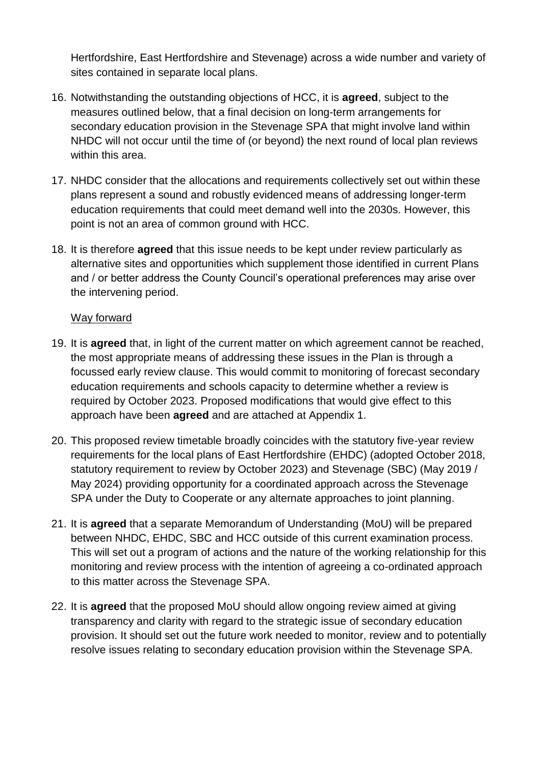Hertfordshire, East Hertfordshire and Stevenage) across a wide number and variety of sites contained in separate local plans.

- 16. Notwithstanding the outstanding objections of HCC, it is **agreed**, subject to the measures outlined below, that a final decision on long-term arrangements for secondary education provision in the Stevenage SPA that might involve land within NHDC will not occur until the time of (or beyond) the next round of local plan reviews within this area.
- 17. NHDC consider that the allocations and requirements collectively set out within these plans represent a sound and robustly evidenced means of addressing longer-term education requirements that could meet demand well into the 2030s. However, this point is not an area of common ground with HCC.
- 18. It is therefore **agreed** that this issue needs to be kept under review particularly as alternative sites and opportunities which supplement those identified in current Plans and / or better address the County Council's operational preferences may arise over the intervening period.

#### Way forward

- 19. It is **agreed** that, in light of the current matter on which agreement cannot be reached, the most appropriate means of addressing these issues in the Plan is through a focussed early review clause. This would commit to monitoring of forecast secondary education requirements and schools capacity to determine whether a review is required by October 2023. Proposed modifications that would give effect to this approach have been **agreed** and are attached at Appendix 1.
- 20. This proposed review timetable broadly coincides with the statutory five-year review requirements for the local plans of East Hertfordshire (EHDC) (adopted October 2018, statutory requirement to review by October 2023) and Stevenage (SBC) (May 2019 / May 2024) providing opportunity for a coordinated approach across the Stevenage SPA under the Duty to Cooperate or any alternate approaches to joint planning.
- 21. It is **agreed** that a separate Memorandum of Understanding (MoU) will be prepared between NHDC, EHDC, SBC and HCC outside of this current examination process. This will set out a program of actions and the nature of the working relationship for this monitoring and review process with the intention of agreeing a co-ordinated approach to this matter across the Stevenage SPA.
- 22. It is **agreed** that the proposed MoU should allow ongoing review aimed at giving transparency and clarity with regard to the strategic issue of secondary education provision. It should set out the future work needed to monitor, review and to potentially resolve issues relating to secondary education provision within the Stevenage SPA.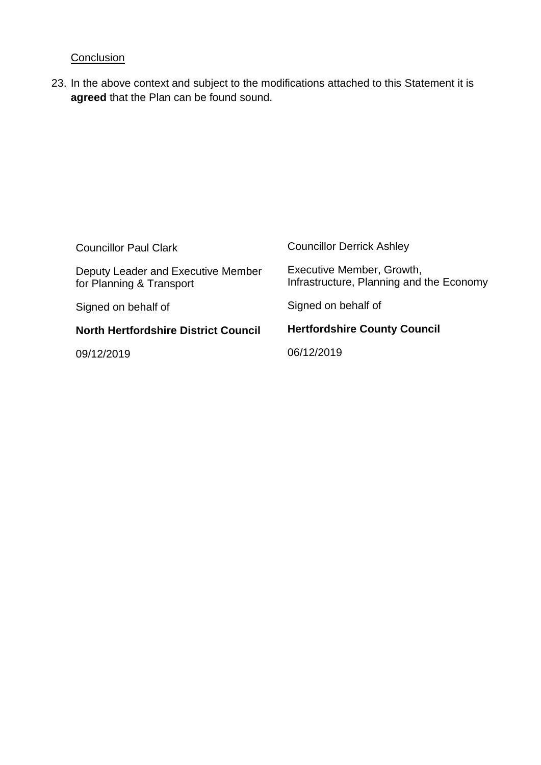### **Conclusion**

23. In the above context and subject to the modifications attached to this Statement it is **agreed** that the Plan can be found sound.

| <b>Councillor Paul Clark</b>                                   | <b>Councillor Derrick Ashley</b>                                      |
|----------------------------------------------------------------|-----------------------------------------------------------------------|
| Deputy Leader and Executive Member<br>for Planning & Transport | Executive Member, Growth,<br>Infrastructure, Planning and the Economy |
| Signed on behalf of                                            | Signed on behalf of                                                   |
| <b>North Hertfordshire District Council</b>                    | <b>Hertfordshire County Council</b>                                   |
| 09/12/2019                                                     | 06/12/2019                                                            |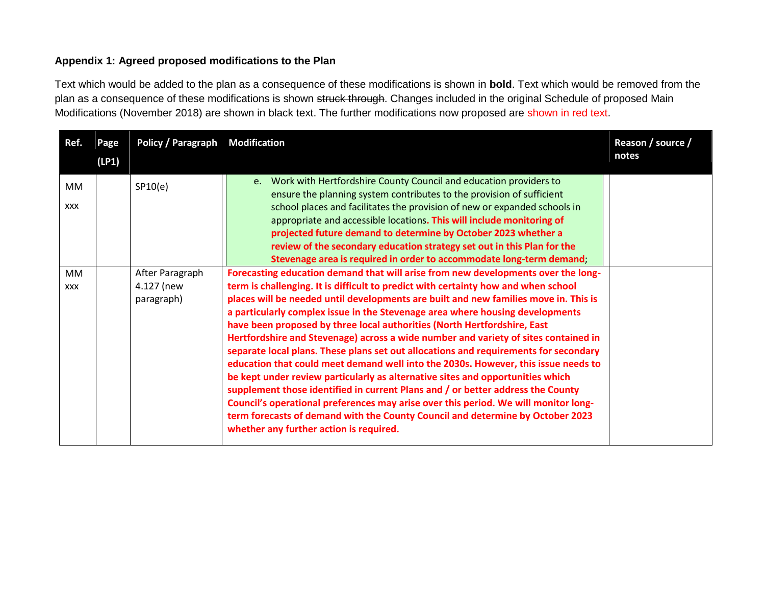#### **Appendix 1: Agreed proposed modifications to the Plan**

Text which would be added to the plan as a consequence of these modifications is shown in **bold**. Text which would be removed from the plan as a consequence of these modifications is shown struck through. Changes included in the original Schedule of proposed Main Modifications (November 2018) are shown in black text. The further modifications now proposed are shown in red text.

| Ref.                    | Page<br>(LP1) | <b>Policy / Paragraph</b>                   | <b>Modification</b>                                                                                                                                                                                                                                                                                                                                                                                                                                                                                                                                                                                                                                                                                                                                                                                                                                                                                                                                                                                                                                                                        | Reason / source /<br>notes |
|-------------------------|---------------|---------------------------------------------|--------------------------------------------------------------------------------------------------------------------------------------------------------------------------------------------------------------------------------------------------------------------------------------------------------------------------------------------------------------------------------------------------------------------------------------------------------------------------------------------------------------------------------------------------------------------------------------------------------------------------------------------------------------------------------------------------------------------------------------------------------------------------------------------------------------------------------------------------------------------------------------------------------------------------------------------------------------------------------------------------------------------------------------------------------------------------------------------|----------------------------|
| MM<br><b>XXX</b>        |               | SP10(e)                                     | e. Work with Hertfordshire County Council and education providers to<br>ensure the planning system contributes to the provision of sufficient<br>school places and facilitates the provision of new or expanded schools in<br>appropriate and accessible locations. This will include monitoring of<br>projected future demand to determine by October 2023 whether a<br>review of the secondary education strategy set out in this Plan for the<br>Stevenage area is required in order to accommodate long-term demand;                                                                                                                                                                                                                                                                                                                                                                                                                                                                                                                                                                   |                            |
| <b>MM</b><br><b>XXX</b> |               | After Paragraph<br>4.127 (new<br>paragraph) | Forecasting education demand that will arise from new developments over the long-<br>term is challenging. It is difficult to predict with certainty how and when school<br>places will be needed until developments are built and new families move in. This is<br>a particularly complex issue in the Stevenage area where housing developments<br>have been proposed by three local authorities (North Hertfordshire, East<br>Hertfordshire and Stevenage) across a wide number and variety of sites contained in<br>separate local plans. These plans set out allocations and requirements for secondary<br>education that could meet demand well into the 2030s. However, this issue needs to<br>be kept under review particularly as alternative sites and opportunities which<br>supplement those identified in current Plans and / or better address the County<br>Council's operational preferences may arise over this period. We will monitor long-<br>term forecasts of demand with the County Council and determine by October 2023<br>whether any further action is required. |                            |